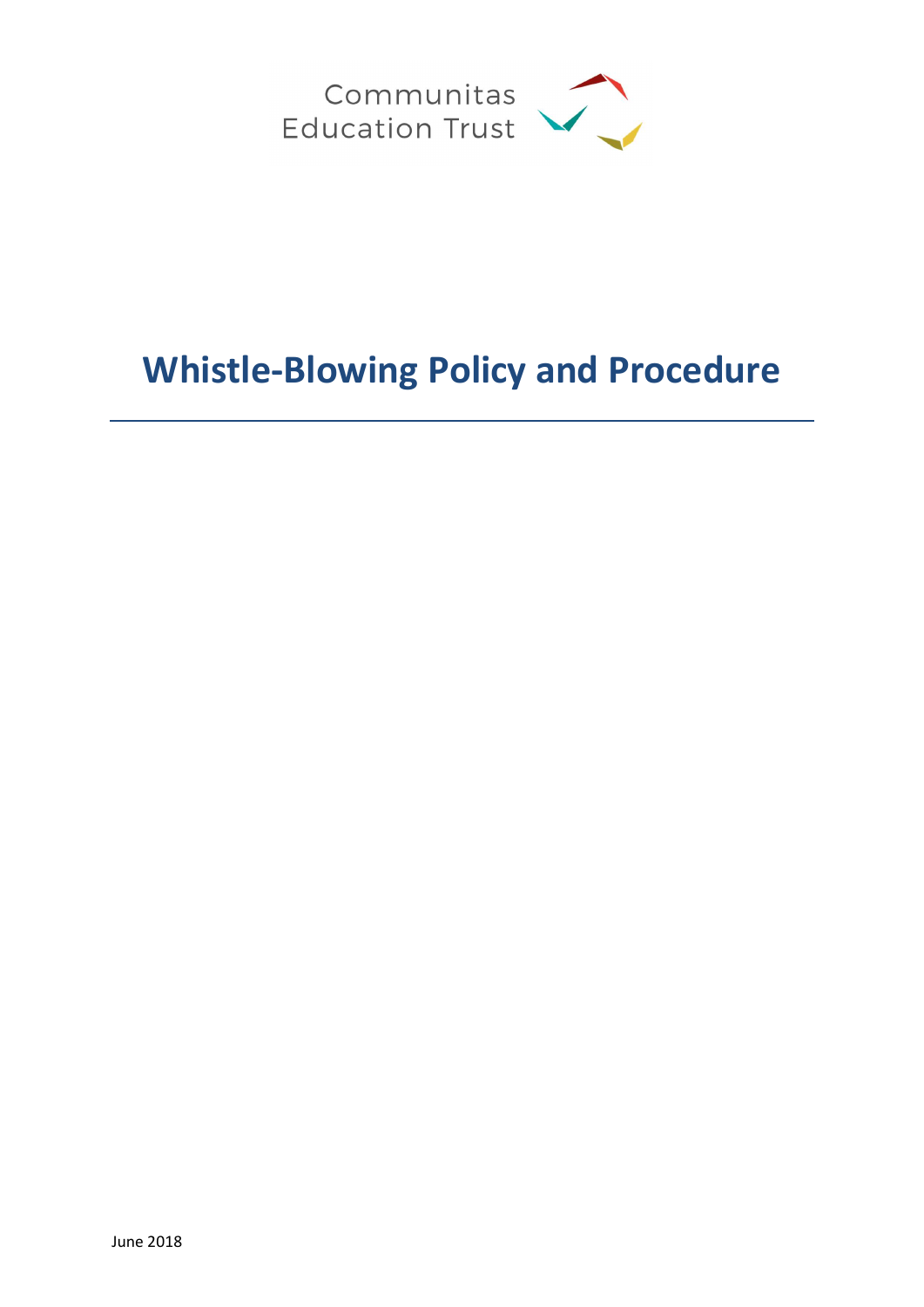

# Whistle-Blowing Policy and Procedure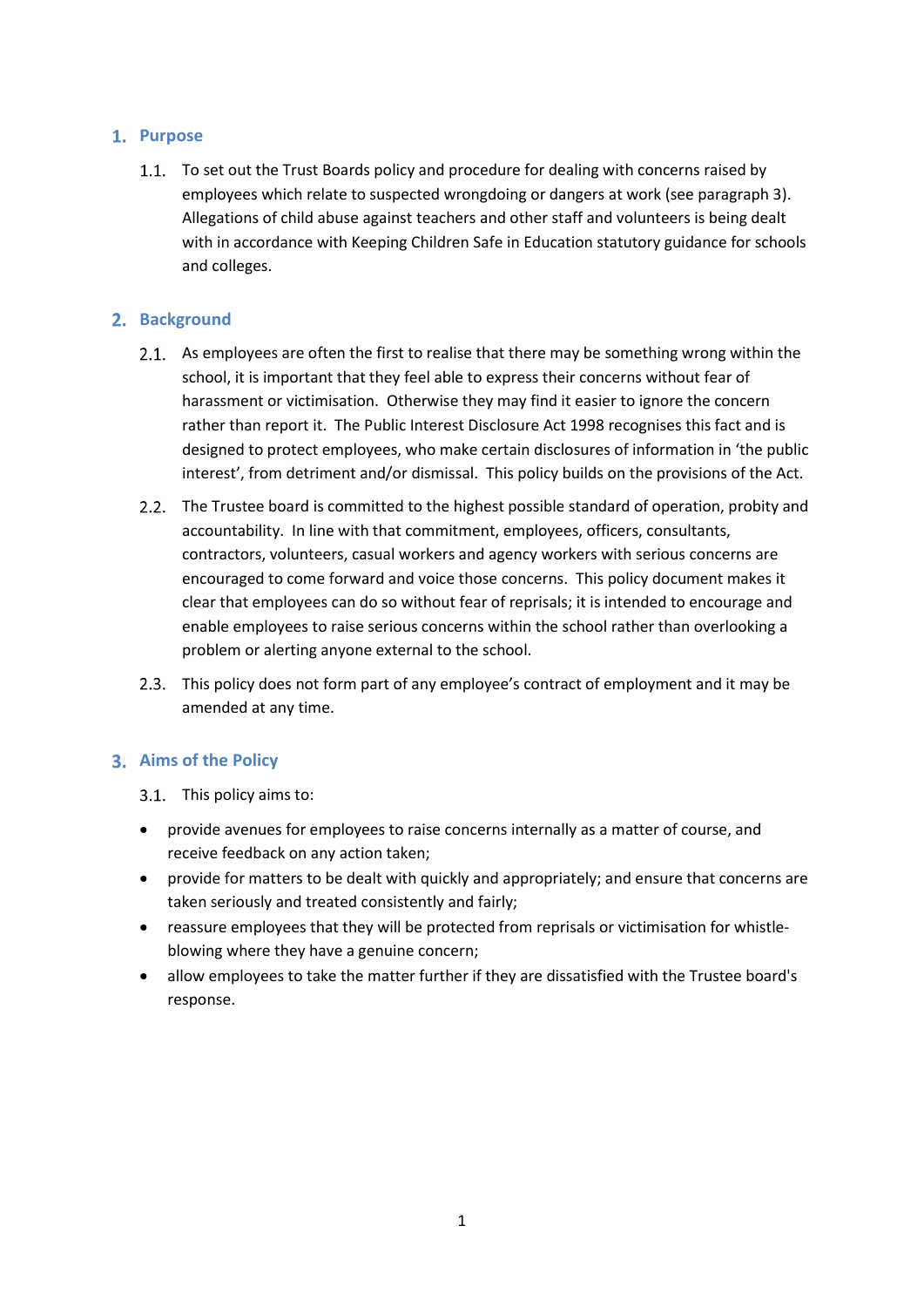## 1. Purpose

1.1. To set out the Trust Boards policy and procedure for dealing with concerns raised by employees which relate to suspected wrongdoing or dangers at work (see paragraph 3). Allegations of child abuse against teachers and other staff and volunteers is being dealt with in accordance with Keeping Children Safe in Education statutory guidance for schools and colleges.

## 2. Background

- 2.1. As employees are often the first to realise that there may be something wrong within the school, it is important that they feel able to express their concerns without fear of harassment or victimisation. Otherwise they may find it easier to ignore the concern rather than report it. The Public Interest Disclosure Act 1998 recognises this fact and is designed to protect employees, who make certain disclosures of information in 'the public interest', from detriment and/or dismissal. This policy builds on the provisions of the Act.
- 2.2. The Trustee board is committed to the highest possible standard of operation, probity and accountability. In line with that commitment, employees, officers, consultants, contractors, volunteers, casual workers and agency workers with serious concerns are encouraged to come forward and voice those concerns. This policy document makes it clear that employees can do so without fear of reprisals; it is intended to encourage and enable employees to raise serious concerns within the school rather than overlooking a problem or alerting anyone external to the school.
- This policy does not form part of any employee's contract of employment and it may be amended at any time.

# 3. Aims of the Policy

- 3.1. This policy aims to:
- provide avenues for employees to raise concerns internally as a matter of course, and receive feedback on any action taken;
- provide for matters to be dealt with quickly and appropriately; and ensure that concerns are taken seriously and treated consistently and fairly;
- reassure employees that they will be protected from reprisals or victimisation for whistleblowing where they have a genuine concern;
- allow employees to take the matter further if they are dissatisfied with the Trustee board's response.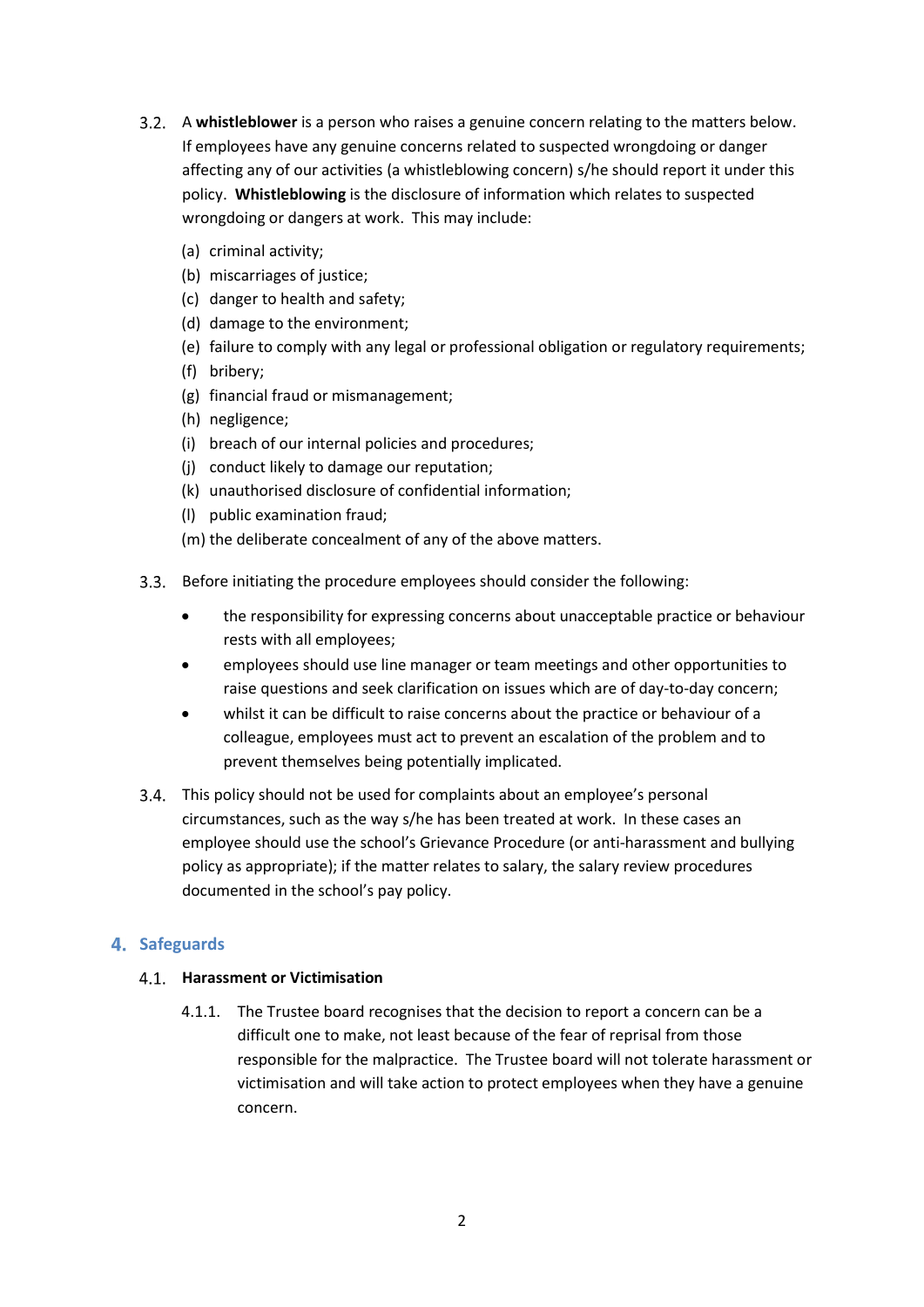- 3.2. A whistleblower is a person who raises a genuine concern relating to the matters below. If employees have any genuine concerns related to suspected wrongdoing or danger affecting any of our activities (a whistleblowing concern) s/he should report it under this policy. Whistleblowing is the disclosure of information which relates to suspected wrongdoing or dangers at work. This may include:
	- (a) criminal activity;
	- (b) miscarriages of justice;
	- (c) danger to health and safety;
	- (d) damage to the environment;
	- (e) failure to comply with any legal or professional obligation or regulatory requirements;
	- (f) bribery;
	- (g) financial fraud or mismanagement;
	- (h) negligence;
	- (i) breach of our internal policies and procedures;
	- (j) conduct likely to damage our reputation;
	- (k) unauthorised disclosure of confidential information;
	- (l) public examination fraud;
	- (m) the deliberate concealment of any of the above matters.
- Before initiating the procedure employees should consider the following:
	- the responsibility for expressing concerns about unacceptable practice or behaviour rests with all employees;
	- employees should use line manager or team meetings and other opportunities to raise questions and seek clarification on issues which are of day-to-day concern;
	- whilst it can be difficult to raise concerns about the practice or behaviour of a colleague, employees must act to prevent an escalation of the problem and to prevent themselves being potentially implicated.
- This policy should not be used for complaints about an employee's personal circumstances, such as the way s/he has been treated at work. In these cases an employee should use the school's Grievance Procedure (or anti-harassment and bullying policy as appropriate); if the matter relates to salary, the salary review procedures documented in the school's pay policy.

# 4. Safeguards

## 4.1. Harassment or Victimisation

4.1.1. The Trustee board recognises that the decision to report a concern can be a difficult one to make, not least because of the fear of reprisal from those responsible for the malpractice. The Trustee board will not tolerate harassment or victimisation and will take action to protect employees when they have a genuine concern.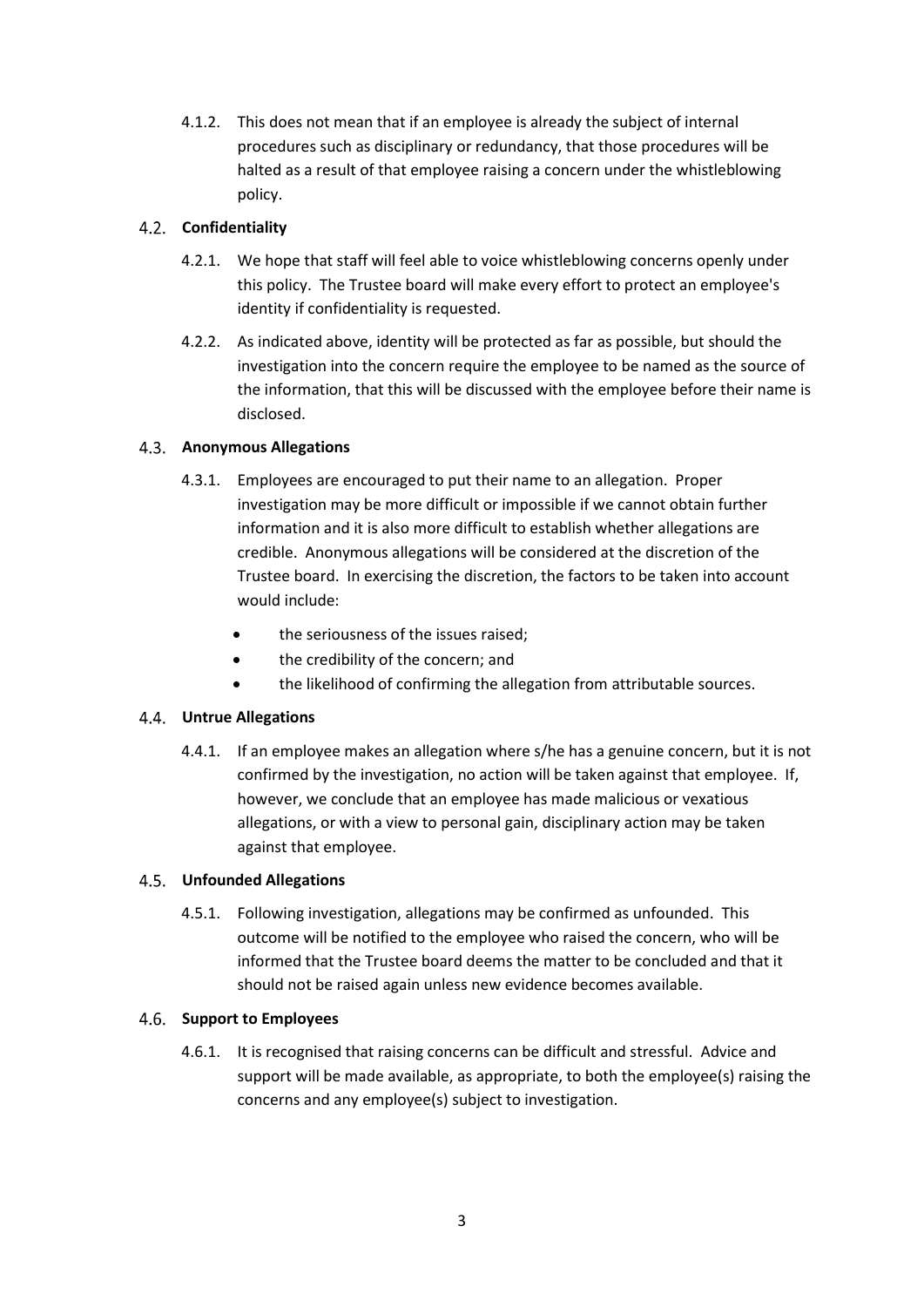4.1.2. This does not mean that if an employee is already the subject of internal procedures such as disciplinary or redundancy, that those procedures will be halted as a result of that employee raising a concern under the whistleblowing policy.

## 4.2. Confidentiality

- 4.2.1. We hope that staff will feel able to voice whistleblowing concerns openly under this policy. The Trustee board will make every effort to protect an employee's identity if confidentiality is requested.
- 4.2.2. As indicated above, identity will be protected as far as possible, but should the investigation into the concern require the employee to be named as the source of the information, that this will be discussed with the employee before their name is disclosed.

## 4.3. Anonymous Allegations

- 4.3.1. Employees are encouraged to put their name to an allegation. Proper investigation may be more difficult or impossible if we cannot obtain further information and it is also more difficult to establish whether allegations are credible. Anonymous allegations will be considered at the discretion of the Trustee board. In exercising the discretion, the factors to be taken into account would include:
	- the seriousness of the issues raised;
	- the credibility of the concern; and
	- the likelihood of confirming the allegation from attributable sources.

## Untrue Allegations

4.4.1. If an employee makes an allegation where s/he has a genuine concern, but it is not confirmed by the investigation, no action will be taken against that employee. If, however, we conclude that an employee has made malicious or vexatious allegations, or with a view to personal gain, disciplinary action may be taken against that employee.

## Unfounded Allegations

4.5.1. Following investigation, allegations may be confirmed as unfounded. This outcome will be notified to the employee who raised the concern, who will be informed that the Trustee board deems the matter to be concluded and that it should not be raised again unless new evidence becomes available.

## 4.6. Support to Employees

4.6.1. It is recognised that raising concerns can be difficult and stressful. Advice and support will be made available, as appropriate, to both the employee(s) raising the concerns and any employee(s) subject to investigation.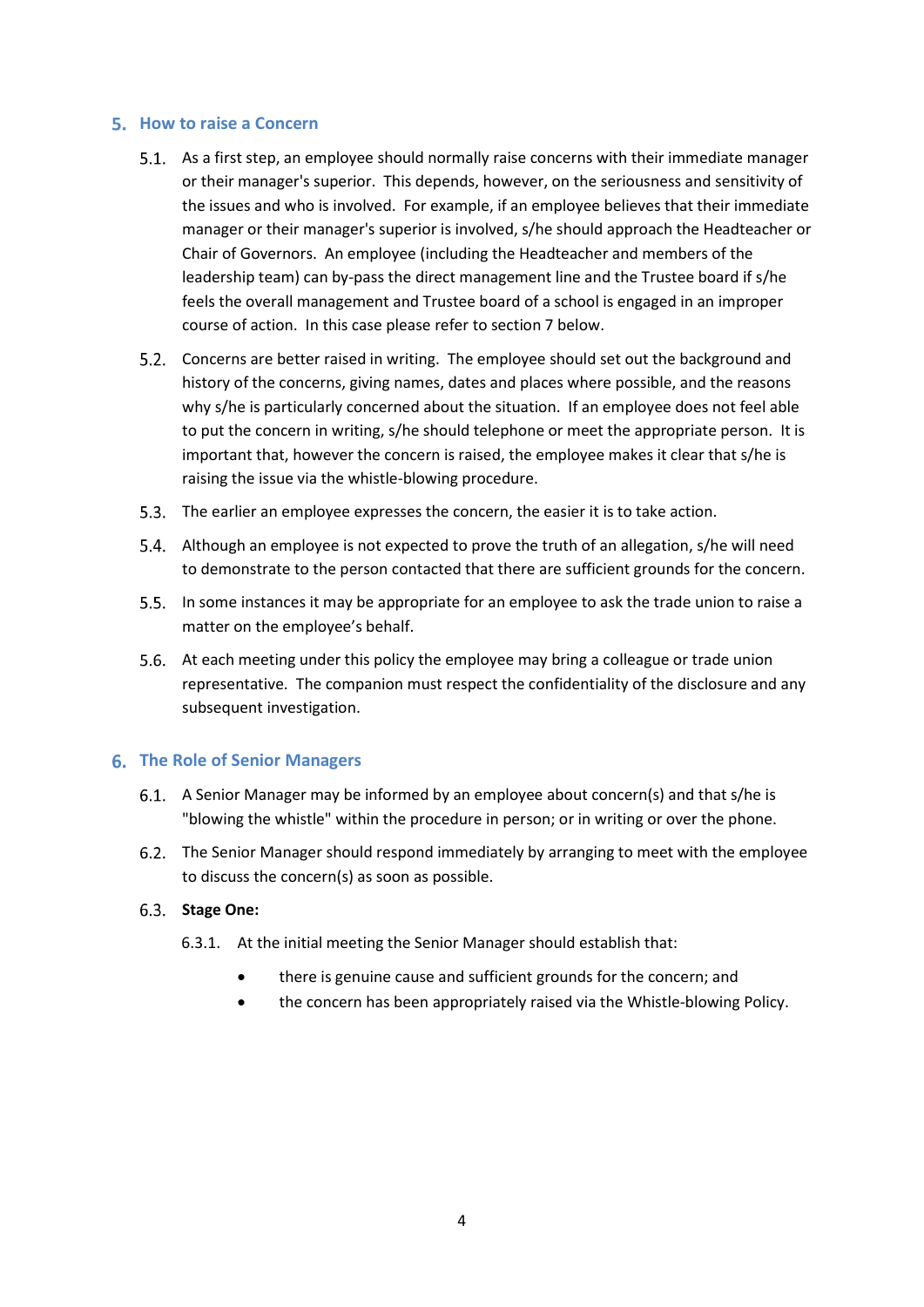#### 5. How to raise a Concern

- 5.1. As a first step, an employee should normally raise concerns with their immediate manager or their manager's superior. This depends, however, on the seriousness and sensitivity of the issues and who is involved. For example, if an employee believes that their immediate manager or their manager's superior is involved, s/he should approach the Headteacher or Chair of Governors. An employee (including the Headteacher and members of the leadership team) can by-pass the direct management line and the Trustee board if s/he feels the overall management and Trustee board of a school is engaged in an improper course of action. In this case please refer to section 7 below.
- Concerns are better raised in writing. The employee should set out the background and history of the concerns, giving names, dates and places where possible, and the reasons why s/he is particularly concerned about the situation. If an employee does not feel able to put the concern in writing, s/he should telephone or meet the appropriate person. It is important that, however the concern is raised, the employee makes it clear that s/he is raising the issue via the whistle-blowing procedure.
- 5.3. The earlier an employee expresses the concern, the easier it is to take action.
- Although an employee is not expected to prove the truth of an allegation, s/he will need to demonstrate to the person contacted that there are sufficient grounds for the concern.
- 5.5. In some instances it may be appropriate for an employee to ask the trade union to raise a matter on the employee's behalf.
- At each meeting under this policy the employee may bring a colleague or trade union representative. The companion must respect the confidentiality of the disclosure and any subsequent investigation.

## **6. The Role of Senior Managers**

- A Senior Manager may be informed by an employee about concern(s) and that s/he is "blowing the whistle" within the procedure in person; or in writing or over the phone.
- The Senior Manager should respond immediately by arranging to meet with the employee to discuss the concern(s) as soon as possible.

#### 6.3. Stage One:

- 6.3.1. At the initial meeting the Senior Manager should establish that:
	- there is genuine cause and sufficient grounds for the concern; and
	- the concern has been appropriately raised via the Whistle-blowing Policy.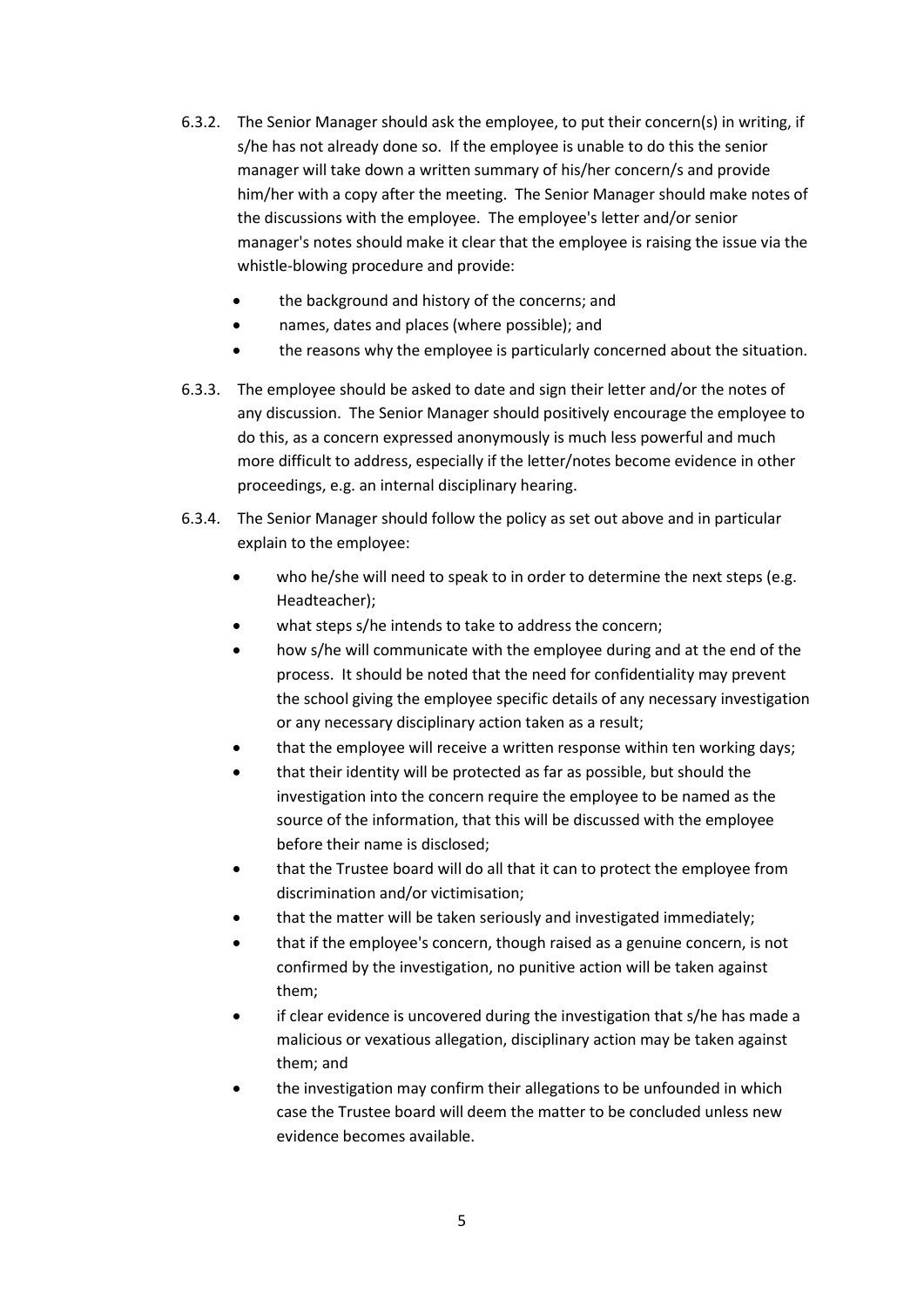- 6.3.2. The Senior Manager should ask the employee, to put their concern(s) in writing, if s/he has not already done so. If the employee is unable to do this the senior manager will take down a written summary of his/her concern/s and provide him/her with a copy after the meeting. The Senior Manager should make notes of the discussions with the employee. The employee's letter and/or senior manager's notes should make it clear that the employee is raising the issue via the whistle-blowing procedure and provide:
	- the background and history of the concerns; and
	- names, dates and places (where possible); and
	- the reasons why the employee is particularly concerned about the situation.
- 6.3.3. The employee should be asked to date and sign their letter and/or the notes of any discussion. The Senior Manager should positively encourage the employee to do this, as a concern expressed anonymously is much less powerful and much more difficult to address, especially if the letter/notes become evidence in other proceedings, e.g. an internal disciplinary hearing.
- 6.3.4. The Senior Manager should follow the policy as set out above and in particular explain to the employee:
	- who he/she will need to speak to in order to determine the next steps (e.g. Headteacher);
	- what steps s/he intends to take to address the concern;
	- how s/he will communicate with the employee during and at the end of the process. It should be noted that the need for confidentiality may prevent the school giving the employee specific details of any necessary investigation or any necessary disciplinary action taken as a result;
	- that the employee will receive a written response within ten working days;
	- that their identity will be protected as far as possible, but should the investigation into the concern require the employee to be named as the source of the information, that this will be discussed with the employee before their name is disclosed;
	- that the Trustee board will do all that it can to protect the employee from discrimination and/or victimisation;
	- that the matter will be taken seriously and investigated immediately;
	- that if the employee's concern, though raised as a genuine concern, is not confirmed by the investigation, no punitive action will be taken against them;
	- if clear evidence is uncovered during the investigation that s/he has made a malicious or vexatious allegation, disciplinary action may be taken against them; and
	- the investigation may confirm their allegations to be unfounded in which case the Trustee board will deem the matter to be concluded unless new evidence becomes available.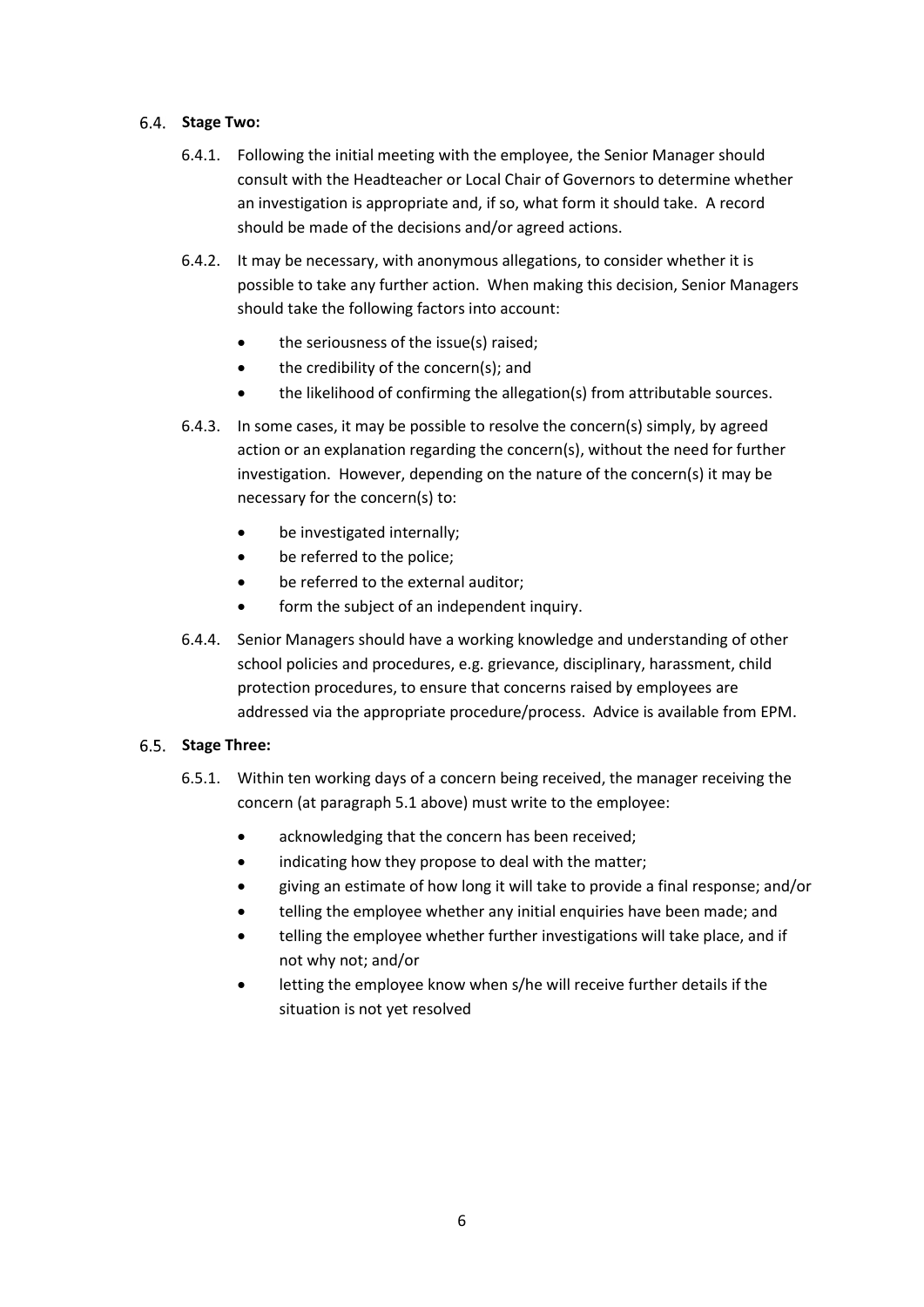#### 6.4. Stage Two:

- 6.4.1. Following the initial meeting with the employee, the Senior Manager should consult with the Headteacher or Local Chair of Governors to determine whether an investigation is appropriate and, if so, what form it should take. A record should be made of the decisions and/or agreed actions.
- 6.4.2. It may be necessary, with anonymous allegations, to consider whether it is possible to take any further action. When making this decision, Senior Managers should take the following factors into account:
	- the seriousness of the issue(s) raised;
	- the credibility of the concern(s); and
	- the likelihood of confirming the allegation(s) from attributable sources.
- 6.4.3. In some cases, it may be possible to resolve the concern(s) simply, by agreed action or an explanation regarding the concern(s), without the need for further investigation. However, depending on the nature of the concern(s) it may be necessary for the concern(s) to:
	- be investigated internally;
	- be referred to the police;
	- be referred to the external auditor;
	- form the subject of an independent inquiry.
- 6.4.4. Senior Managers should have a working knowledge and understanding of other school policies and procedures, e.g. grievance, disciplinary, harassment, child protection procedures, to ensure that concerns raised by employees are addressed via the appropriate procedure/process. Advice is available from EPM.

## 6.5. Stage Three:

- 6.5.1. Within ten working days of a concern being received, the manager receiving the concern (at paragraph 5.1 above) must write to the employee:
	- acknowledging that the concern has been received;
	- indicating how they propose to deal with the matter;
	- giving an estimate of how long it will take to provide a final response; and/or
	- telling the employee whether any initial enquiries have been made; and
	- telling the employee whether further investigations will take place, and if not why not; and/or
	- letting the employee know when s/he will receive further details if the situation is not yet resolved